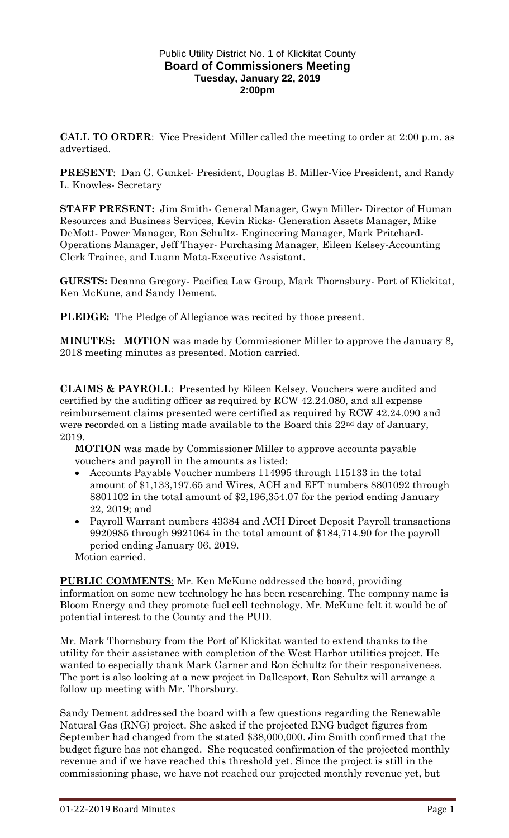#### Public Utility District No. 1 of Klickitat County **Board of Commissioners Meeting Tuesday, January 22, 2019 2:00pm**

**CALL TO ORDER**: Vice President Miller called the meeting to order at 2:00 p.m. as advertised.

**PRESENT**: Dan G. Gunkel- President, Douglas B. Miller-Vice President, and Randy L. Knowles- Secretary

**STAFF PRESENT:** Jim Smith- General Manager, Gwyn Miller- Director of Human Resources and Business Services, Kevin Ricks- Generation Assets Manager, Mike DeMott- Power Manager, Ron Schultz- Engineering Manager, Mark Pritchard-Operations Manager, Jeff Thayer- Purchasing Manager, Eileen Kelsey-Accounting Clerk Trainee, and Luann Mata-Executive Assistant.

**GUESTS:** Deanna Gregory- Pacifica Law Group, Mark Thornsbury- Port of Klickitat, Ken McKune, and Sandy Dement.

**PLEDGE:** The Pledge of Allegiance was recited by those present.

**MINUTES: MOTION** was made by Commissioner Miller to approve the January 8, 2018 meeting minutes as presented. Motion carried.

**CLAIMS & PAYROLL**: Presented by Eileen Kelsey. Vouchers were audited and certified by the auditing officer as required by RCW 42.24.080, and all expense reimbursement claims presented were certified as required by RCW 42.24.090 and were recorded on a listing made available to the Board this 22<sup>nd</sup> day of January, 2019.

**MOTION** was made by Commissioner Miller to approve accounts payable vouchers and payroll in the amounts as listed:

- Accounts Payable Voucher numbers 114995 through 115133 in the total amount of \$1,133,197.65 and Wires, ACH and EFT numbers 8801092 through 8801102 in the total amount of \$2,196,354.07 for the period ending January 22, 2019; and
- Payroll Warrant numbers 43384 and ACH Direct Deposit Payroll transactions 9920985 through 9921064 in the total amount of \$184,714.90 for the payroll period ending January 06, 2019.

Motion carried.

**PUBLIC COMMENTS**: Mr. Ken McKune addressed the board, providing information on some new technology he has been researching. The company name is Bloom Energy and they promote fuel cell technology. Mr. McKune felt it would be of potential interest to the County and the PUD.

Mr. Mark Thornsbury from the Port of Klickitat wanted to extend thanks to the utility for their assistance with completion of the West Harbor utilities project. He wanted to especially thank Mark Garner and Ron Schultz for their responsiveness. The port is also looking at a new project in Dallesport, Ron Schultz will arrange a follow up meeting with Mr. Thorsbury.

Sandy Dement addressed the board with a few questions regarding the Renewable Natural Gas (RNG) project. She asked if the projected RNG budget figures from September had changed from the stated \$38,000,000. Jim Smith confirmed that the budget figure has not changed. She requested confirmation of the projected monthly revenue and if we have reached this threshold yet. Since the project is still in the commissioning phase, we have not reached our projected monthly revenue yet, but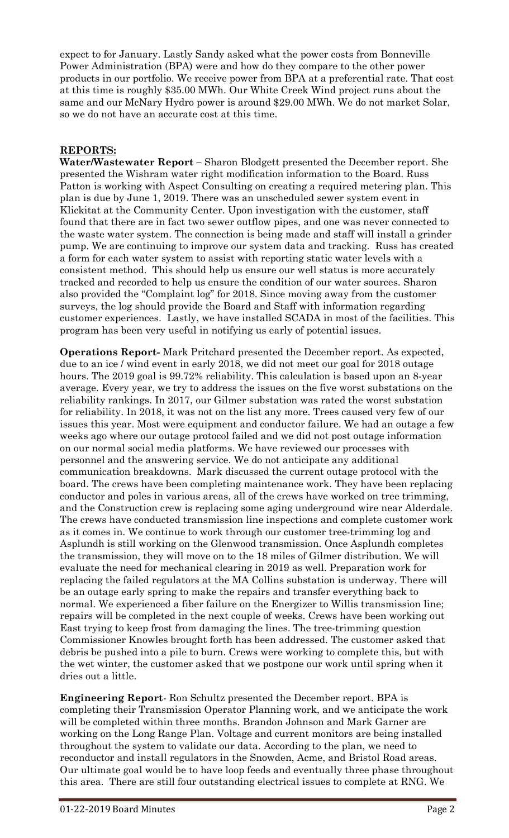expect to for January. Lastly Sandy asked what the power costs from Bonneville Power Administration (BPA) were and how do they compare to the other power products in our portfolio. We receive power from BPA at a preferential rate. That cost at this time is roughly \$35.00 MWh. Our White Creek Wind project runs about the same and our McNary Hydro power is around \$29.00 MWh. We do not market Solar, so we do not have an accurate cost at this time.

## **REPORTS:**

**Water/Wastewater Report –** Sharon Blodgett presented the December report. She presented the Wishram water right modification information to the Board. Russ Patton is working with Aspect Consulting on creating a required metering plan. This plan is due by June 1, 2019. There was an unscheduled sewer system event in Klickitat at the Community Center. Upon investigation with the customer, staff found that there are in fact two sewer outflow pipes, and one was never connected to the waste water system. The connection is being made and staff will install a grinder pump. We are continuing to improve our system data and tracking. Russ has created a form for each water system to assist with reporting static water levels with a consistent method. This should help us ensure our well status is more accurately tracked and recorded to help us ensure the condition of our water sources. Sharon also provided the "Complaint log" for 2018. Since moving away from the customer surveys, the log should provide the Board and Staff with information regarding customer experiences. Lastly, we have installed SCADA in most of the facilities. This program has been very useful in notifying us early of potential issues.

**Operations Report-** Mark Pritchard presented the December report. As expected, due to an ice / wind event in early 2018, we did not meet our goal for 2018 outage hours. The 2019 goal is 99.72% reliability. This calculation is based upon an 8-year average. Every year, we try to address the issues on the five worst substations on the reliability rankings. In 2017, our Gilmer substation was rated the worst substation for reliability. In 2018, it was not on the list any more. Trees caused very few of our issues this year. Most were equipment and conductor failure. We had an outage a few weeks ago where our outage protocol failed and we did not post outage information on our normal social media platforms. We have reviewed our processes with personnel and the answering service. We do not anticipate any additional communication breakdowns. Mark discussed the current outage protocol with the board. The crews have been completing maintenance work. They have been replacing conductor and poles in various areas, all of the crews have worked on tree trimming, and the Construction crew is replacing some aging underground wire near Alderdale. The crews have conducted transmission line inspections and complete customer work as it comes in. We continue to work through our customer tree-trimming log and Asplundh is still working on the Glenwood transmission. Once Asplundh completes the transmission, they will move on to the 18 miles of Gilmer distribution. We will evaluate the need for mechanical clearing in 2019 as well. Preparation work for replacing the failed regulators at the MA Collins substation is underway. There will be an outage early spring to make the repairs and transfer everything back to normal. We experienced a fiber failure on the Energizer to Willis transmission line; repairs will be completed in the next couple of weeks. Crews have been working out East trying to keep frost from damaging the lines. The tree-trimming question Commissioner Knowles brought forth has been addressed. The customer asked that debris be pushed into a pile to burn. Crews were working to complete this, but with the wet winter, the customer asked that we postpone our work until spring when it dries out a little.

**Engineering Report**- Ron Schultz presented the December report. BPA is completing their Transmission Operator Planning work, and we anticipate the work will be completed within three months. Brandon Johnson and Mark Garner are working on the Long Range Plan. Voltage and current monitors are being installed throughout the system to validate our data. According to the plan, we need to reconductor and install regulators in the Snowden, Acme, and Bristol Road areas. Our ultimate goal would be to have loop feeds and eventually three phase throughout this area. There are still four outstanding electrical issues to complete at RNG. We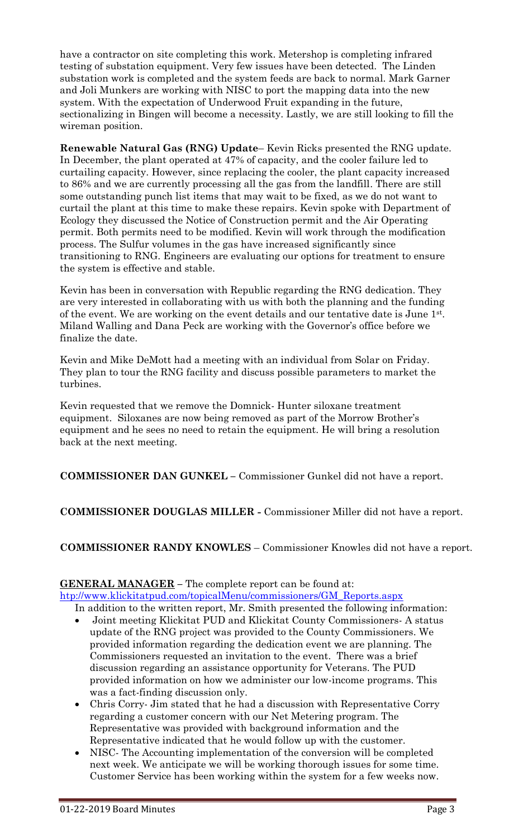have a contractor on site completing this work. Metershop is completing infrared testing of substation equipment. Very few issues have been detected. The Linden substation work is completed and the system feeds are back to normal. Mark Garner and Joli Munkers are working with NISC to port the mapping data into the new system. With the expectation of Underwood Fruit expanding in the future, sectionalizing in Bingen will become a necessity. Lastly, we are still looking to fill the wireman position.

**Renewable Natural Gas (RNG) Update**– Kevin Ricks presented the RNG update. In December, the plant operated at 47% of capacity, and the cooler failure led to curtailing capacity. However, since replacing the cooler, the plant capacity increased to 86% and we are currently processing all the gas from the landfill. There are still some outstanding punch list items that may wait to be fixed, as we do not want to curtail the plant at this time to make these repairs. Kevin spoke with Department of Ecology they discussed the Notice of Construction permit and the Air Operating permit. Both permits need to be modified. Kevin will work through the modification process. The Sulfur volumes in the gas have increased significantly since transitioning to RNG. Engineers are evaluating our options for treatment to ensure the system is effective and stable.

Kevin has been in conversation with Republic regarding the RNG dedication. They are very interested in collaborating with us with both the planning and the funding of the event. We are working on the event details and our tentative date is June 1st . Miland Walling and Dana Peck are working with the Governor's office before we finalize the date.

Kevin and Mike DeMott had a meeting with an individual from Solar on Friday. They plan to tour the RNG facility and discuss possible parameters to market the turbines.

Kevin requested that we remove the Domnick- Hunter siloxane treatment equipment. Siloxanes are now being removed as part of the Morrow Brother's equipment and he sees no need to retain the equipment. He will bring a resolution back at the next meeting.

**COMMISSIONER DAN GUNKEL –** Commissioner Gunkel did not have a report.

# **COMMISSIONER DOUGLAS MILLER -** Commissioner Miller did not have a report.

**COMMISSIONER RANDY KNOWLES** – Commissioner Knowles did not have a report.

### **GENERAL MANAGER –** The complete report can be found at:

[htp://www.klickitatpud.com/topicalMenu/commissioners/GM\\_Reports.aspx](http://www.klickitatpud.com/topicalMenu/commissioners/GM_Reports.aspx)

In addition to the written report, Mr. Smith presented the following information:

- Joint meeting Klickitat PUD and Klickitat County Commissioners- A status update of the RNG project was provided to the County Commissioners. We provided information regarding the dedication event we are planning. The Commissioners requested an invitation to the event. There was a brief discussion regarding an assistance opportunity for Veterans. The PUD provided information on how we administer our low-income programs. This was a fact-finding discussion only.
- Chris Corry- Jim stated that he had a discussion with Representative Corry regarding a customer concern with our Net Metering program. The Representative was provided with background information and the Representative indicated that he would follow up with the customer.
- NISC- The Accounting implementation of the conversion will be completed next week. We anticipate we will be working thorough issues for some time. Customer Service has been working within the system for a few weeks now.